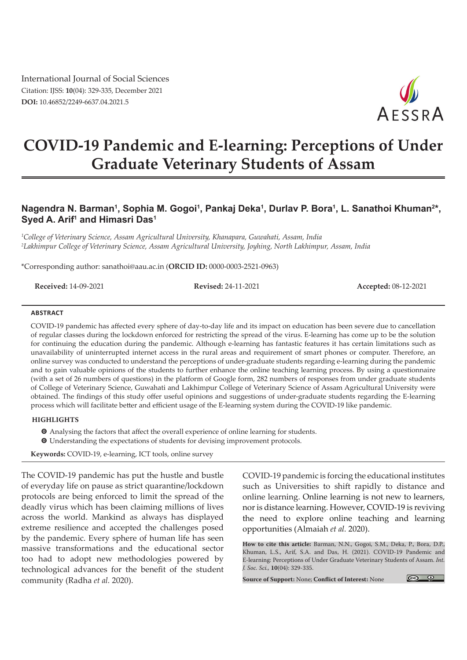International Journal of Social Sciences Citation: IJSS: **10**(04): 329-335, December 2021 **DOI:** 10.46852/2249-6637.04.2021.5



# **COVID-19 Pandemic and E-learning: Perceptions of Under Graduate Veterinary Students of Assam**

# Nagendra N. Barman<sup>1</sup>, Sophia M. Gogoi<sup>1</sup>, Pankaj Deka<sup>1</sup>, Durlav P. Bora<sup>1</sup>, L. Sanathoi Khuman<sup>2</sup>\*, **Syed A. Arif1 and Himasri Das1**

*1 College of Veterinary Science, Assam Agricultural University, Khanapara, Guwahati, Assam, India 2 Lakhimpur College of Veterinary Science, Assam Agricultural University, Joyhing, North Lakhimpur, Assam, India*

\*Corresponding author: sanathoi@aau.ac.in (**ORCID ID:** 0000-0003-2521-0963)

**Received:** 14-09-2021 **Revised:** 24-11-2021 **Accepted:** 08-12-2021

#### **Abstract**

COVID-19 pandemic has affected every sphere of day-to-day life and its impact on education has been severe due to cancellation of regular classes during the lockdown enforced for restricting the spread of the virus. E-learning has come up to be the solution for continuing the education during the pandemic. Although e-learning has fantastic features it has certain limitations such as unavailability of uninterrupted internet access in the rural areas and requirement of smart phones or computer. Therefore, an online survey was conducted to understand the perceptions of under-graduate students regarding e-learning during the pandemic and to gain valuable opinions of the students to further enhance the online teaching learning process. By using a questionnaire (with a set of 26 numbers of questions) in the platform of Google form, 282 numbers of responses from under graduate students of College of Veterinary Science, Guwahati and Lakhimpur College of Veterinary Science of Assam Agricultural University were obtained. The findings of this study offer useful opinions and suggestions of under-graduate students regarding the E-learning process which will facilitate better and efficient usage of the E-learning system during the COVID-19 like pandemic.

#### **Highlights**

 $\bullet$  Analysing the factors that affect the overall experience of online learning for students.  $\bullet$  Understanding the expectations of students for devising improvement protocols.

**Keywords:** COVID-19, e-learning, ICT tools, online survey

The COVID-19 pandemic has put the hustle and bustle of everyday life on pause as strict quarantine/lockdown protocols are being enforced to limit the spread of the deadly virus which has been claiming millions of lives across the world. Mankind as always has displayed extreme resilience and accepted the challenges posed by the pandemic. Every sphere of human life has seen massive transformations and the educational sector too had to adopt new methodologies powered by technological advances for the benefit of the student community (Radha *et al.* 2020).

COVID-19 pandemic is forcing the educational institutes such as Universities to shift rapidly to distance and online learning. Online learning is not new to learners, nor is distance learning. However, COVID-19 is reviving the need to explore online teaching and learning opportunities (Almaiah *et al.* 2020).

**How to cite this article:** Barman, N.N., Gogoi, S.M., Deka, P., Bora, D.P., Khuman, L.S., Arif, S.A. and Das, H. (2021). COVID-19 Pandemic and E-learning: Perceptions of Under Graduate Veterinary Students of Assam. *Int. J. Soc. Sci.,* **10**(04): 329-335.

**Source of Support:** None; **Conflict of Interest:** None

 $\circ$   $\circ$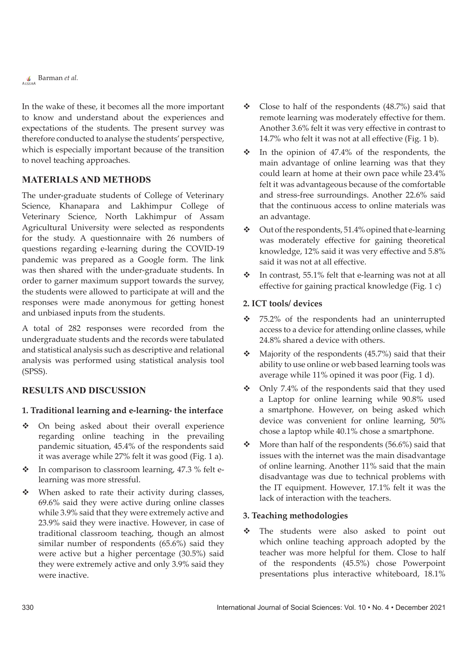Barman *et al.*

In the wake of these, it becomes all the more important to know and understand about the experiences and expectations of the students. The present survey was therefore conducted to analyse the students' perspective, which is especially important because of the transition to novel teaching approaches.

# **Materials and Methods**

The under-graduate students of College of Veterinary Science, Khanapara and Lakhimpur College of Veterinary Science, North Lakhimpur of Assam Agricultural University were selected as respondents for the study. A questionnaire with 26 numbers of questions regarding e-learning during the COVID-19 pandemic was prepared as a Google form. The link was then shared with the under-graduate students. In order to garner maximum support towards the survey, the students were allowed to participate at will and the responses were made anonymous for getting honest and unbiased inputs from the students.

A total of 282 responses were recorded from the undergraduate students and the records were tabulated and statistical analysis such as descriptive and relational analysis was performed using statistical analysis tool (SPSS).

# **Results and Discussion**

#### **1. Traditional learning and e-learning- the interface**

- On being asked about their overall experience regarding online teaching in the prevailing pandemic situation, 45.4% of the respondents said it was average while 27% felt it was good (Fig. 1 a).
- $\cdot \cdot$  In comparison to classroom learning, 47.3 % felt elearning was more stressful.
- When asked to rate their activity during classes, 69.6% said they were active during online classes while 3.9% said that they were extremely active and 23.9% said they were inactive. However, in case of traditional classroom teaching, though an almost similar number of respondents (65.6%) said they were active but a higher percentage (30.5%) said they were extremely active and only 3.9% said they were inactive.
- $\div$  Close to half of the respondents (48.7%) said that remote learning was moderately effective for them. Another 3.6% felt it was very effective in contrast to 14.7% who felt it was not at all effective (Fig. 1 b).
- $\cdot \cdot$  In the opinion of 47.4% of the respondents, the main advantage of online learning was that they could learn at home at their own pace while 23.4% felt it was advantageous because of the comfortable and stress-free surroundings. Another 22.6% said that the continuous access to online materials was an advantage.
- $\div$  Out of the respondents, 51.4% opined that e-learning was moderately effective for gaining theoretical knowledge, 12% said it was very effective and 5.8% said it was not at all effective.
- $\cdot$  In contrast, 55.1% felt that e-learning was not at all effective for gaining practical knowledge (Fig. 1 c)

#### **2. ICT tools/ devices**

- 75.2% of the respondents had an uninterrupted access to a device for attending online classes, while 24.8% shared a device with others.
- $\triangleleft$  Majority of the respondents (45.7%) said that their ability to use online or web based learning tools was average while 11% opined it was poor (Fig. 1 d).
- Only 7.4% of the respondents said that they used a Laptop for online learning while 90.8% used a smartphone. However, on being asked which device was convenient for online learning, 50% chose a laptop while 40.1% chose a smartphone.
- $\textcolor{blue}{\clubsuit}\textcolor{blue}{\bullet}$  More than half of the respondents (56.6%) said that issues with the internet was the main disadvantage of online learning. Another 11% said that the main disadvantage was due to technical problems with the IT equipment. However, 17.1% felt it was the lack of interaction with the teachers.

#### **3. Teaching methodologies**

 The students were also asked to point out which online teaching approach adopted by the teacher was more helpful for them. Close to half of the respondents (45.5%) chose Powerpoint presentations plus interactive whiteboard, 18.1%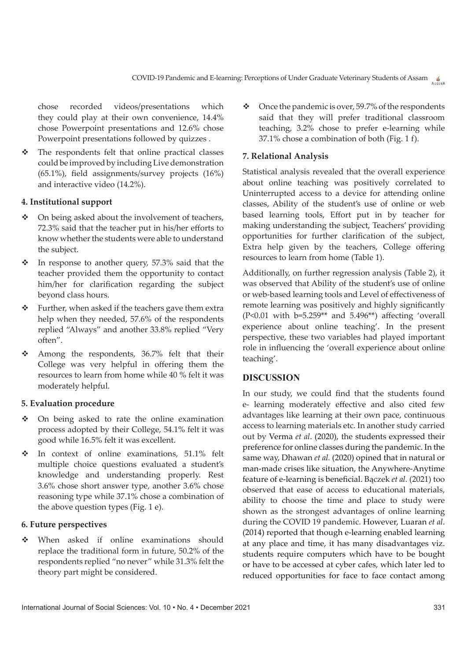chose recorded videos/presentations which they could play at their own convenience, 14.4% chose Powerpoint presentations and 12.6% chose Powerpoint presentations followed by quizzes .

\* The respondents felt that online practical classes could be improved by including Live demonstration (65.1%), field assignments/survey projects (16%) and interactive video (14.2%).

# **4. Institutional support**

- On being asked about the involvement of teachers, 72.3% said that the teacher put in his/her efforts to know whether the students were able to understand the subject.
- $\cdot \cdot$  In response to another query, 57.3% said that the teacher provided them the opportunity to contact him/her for clarification regarding the subject beyond class hours.
- \* Further, when asked if the teachers gave them extra help when they needed, 57.6% of the respondents replied "Always" and another 33.8% replied "Very often".
- $\div$  Among the respondents, 36.7% felt that their College was very helpful in offering them the resources to learn from home while 40 % felt it was moderately helpful.

# **5. Evaluation procedure**

- On being asked to rate the online examination process adopted by their College, 54.1% felt it was good while 16.5% felt it was excellent.
- $\cdot$  In context of online examinations, 51.1% felt multiple choice questions evaluated a student's knowledge and understanding properly. Rest 3.6% chose short answer type, another 3.6% chose reasoning type while 37.1% chose a combination of the above question types (Fig. 1 e).

#### **6. Future perspectives**

 When asked if online examinations should replace the traditional form in future, 50.2% of the respondents replied "no never" while 31.3% felt the theory part might be considered.

 $\bullet$  Once the pandemic is over, 59.7% of the respondents said that they will prefer traditional classroom teaching, 3.2% chose to prefer e-learning while 37.1% chose a combination of both (Fig. 1 f).

#### **7. Relational Analysis**

Statistical analysis revealed that the overall experience about online teaching was positively correlated to Uninterrupted access to a device for attending online classes, Ability of the student's use of online or web based learning tools, Effort put in by teacher for making understanding the subject, Teachers' providing opportunities for further clarification of the subject, Extra help given by the teachers, College offering resources to learn from home (Table 1).

Additionally, on further regression analysis (Table 2), it was observed that Ability of the student's use of online or web-based learning tools and Level of effectiveness of remote learning was positively and highly significantly (P<0.01 with b=5.259\*\* and 5.496\*\*) affecting 'overall experience about online teaching'. In the present perspective, these two variables had played important role in influencing the 'overall experience about online teaching'.

#### **Discussion**

In our study, we could find that the students found e- learning moderately effective and also cited few advantages like learning at their own pace, continuous access to learning materials etc. In another study carried out by Verma *et al*. (2020), the students expressed their preference for online classes during the pandemic. In the same way, Dhawan *et al.* (2020) opined that in natural or man-made crises like situation, the Anywhere-Anytime feature of e-learning is beneficial. Bączek *et al.* (2021) too observed that ease of access to educational materials, ability to choose the time and place to study were shown as the strongest advantages of online learning during the COVID 19 pandemic. However, Luaran *et al*. (2014) reported that though e-learning enabled learning at any place and time, it has many disadvantages viz. students require computers which have to be bought or have to be accessed at cyber cafes, which later led to reduced opportunities for face to face contact among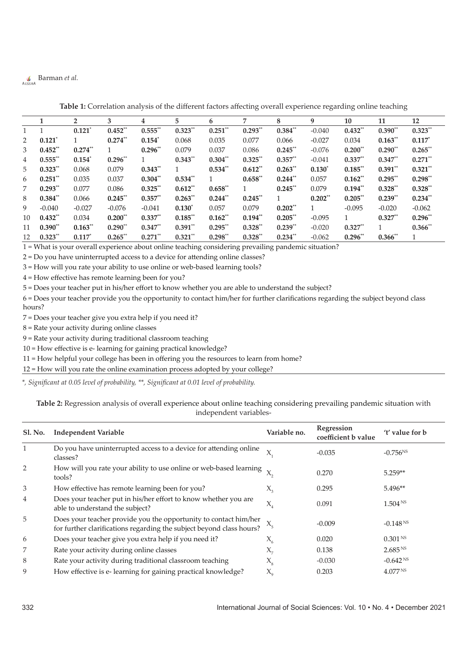# Barman *et al.*

|              |                      | $\overline{2}$       | 3          | 4                    | 5           | 6          | 7         | 8          | 9           | 10        | 11         | 12          |
|--------------|----------------------|----------------------|------------|----------------------|-------------|------------|-----------|------------|-------------|-----------|------------|-------------|
|              |                      |                      |            |                      |             |            |           |            |             |           |            |             |
| $\mathbf{1}$ | $\mathbf{1}$         | $0.121$ <sup>*</sup> | $0.452**$  | $0.555$ **           | $0.323**$   | $0.251$ ** | $0.293**$ | $0.384**$  | $-0.040$    | $0.432**$ | $0.390**$  | $0.323**$   |
| 2            | $0.121$ <sup>*</sup> |                      | $0.274**$  | $0.154$ <sup>*</sup> | 0.068       | 0.035      | 0.077     | 0.066      | $-0.027$    | 0.034     | $0.163**$  | $0.117^{*}$ |
| 3            | $0.452**$            | $0.274**$            |            | $0.296**$            | 0.079       | 0.037      | 0.086     | $0.245$ ** | $-0.076$    | $0.200**$ | $0.290**$  | $0.265$ **  |
| 4            | $0.555$ **           | $0.154*$             | $0.296**$  | -1                   | $0.343**$   | $0.304**$  | $0.325**$ | $0.357**$  | $-0.041$    | $0.337**$ | $0.347**$  | $0.271$ **  |
| 5            | $0.323**$            | 0.068                | 0.079      | $0.343**$            |             | $0.534**$  | $0.612**$ | $0.263**$  | $0.130^{*}$ | $0.185**$ | $0.391**$  | $0.321**$   |
| 6            | $0.251$ **           | 0.035                | 0.037      | $0.304**$            | $0.534**$   |            | $0.658**$ | $0.244$ ** | 0.057       | $0.162**$ | $0.295**$  | $0.298**$   |
| 7            | $0.293**$            | 0.077                | 0.086      | $0.325**$            | $0.612**$   | $0.658**$  | 1         | $0.245$ ** | 0.079       | $0.194**$ | $0.328**$  | $0.328**$   |
| 8            | $0.384**$            | 0.066                | $0.245**$  | $0.357**$            | $0.263**$   | $0.244$ ** | $0.245**$ | 1          | $0.202**$   | $0.205**$ | $0.239**$  | $0.234**$   |
| 9            | $-0.040$             | $-0.027$             | $-0.076$   | $-0.041$             | $0.130^{*}$ | 0.057      | 0.079     | $0.202**$  | 1           | $-0.095$  | $-0.020$   | $-0.062$    |
| 10           | $0.432**$            | 0.034                | $0.200**$  | $0.337**$            | $0.185**$   | $0.162**$  | $0.194**$ | $0.205**$  | $-0.095$    |           | $0.327**$  | $0.296**$   |
| 11           | $0.390**$            | $0.163**$            | $0.290**$  | $0.347**$            | $0.391**$   | $0.295**$  | $0.328**$ | $0.239**$  | $-0.020$    | $0.327**$ |            | $0.366$ **  |
| 12           | $0.323**$            | $0.117$ <sup>*</sup> | $0.265$ ** | $0.271$ **           | $0.321$ **  | $0.298**$  | $0.328**$ | $0.234**$  | $-0.062$    | $0.296**$ | $0.366$ ** | 1           |

**Table 1:** Correlation analysis of the different factors affecting overall experience regarding online teaching

1 = What is your overall experience about online teaching considering prevailing pandemic situation?

2 = Do you have uninterrupted access to a device for attending online classes?

3 = How will you rate your ability to use online or web-based learning tools?

4 = How effective has remote learning been for you?

5 = Does your teacher put in his/her effort to know whether you are able to understand the subject?

6 = Does your teacher provide you the opportunity to contact him/her for further clarifications regarding the subject beyond class hours?

7 = Does your teacher give you extra help if you need it?

8 = Rate your activity during online classes

9 = Rate your activity during traditional classroom teaching

10 = How effective is e- learning for gaining practical knowledge?

11 = How helpful your college has been in offering you the resources to learn from home?

12 = How will you rate the online examination process adopted by your college?

*\*, Significant at 0.05 level of probability, \*\*, Significant at 0.01 level of probability.*

| Table 2: Regression analysis of overall experience about online teaching considering prevailing pandemic situation with |  |  |  |  |  |  |  |  |
|-------------------------------------------------------------------------------------------------------------------------|--|--|--|--|--|--|--|--|
| independent variables-                                                                                                  |  |  |  |  |  |  |  |  |

| <b>Sl. No.</b> | <b>Independent Variable</b>                                                                                                              | Variable no.               | Regression<br>coefficient b value | 't' value for b     |
|----------------|------------------------------------------------------------------------------------------------------------------------------------------|----------------------------|-----------------------------------|---------------------|
| $\mathbf{1}$   | Do you have uninterrupted access to a device for attending online<br>classes?                                                            | X.                         | $-0.035$                          | $-0.756^{NS}$       |
| 2              | How will you rate your ability to use online or web-based learning<br>tools?                                                             |                            | 0.270                             | $5.259**$           |
| 3              | How effective has remote learning been for you?                                                                                          | $X_{3}$                    | 0.295                             | $5.496**$           |
| 4              | Does your teacher put in his/her effort to know whether you are<br>able to understand the subject?                                       | $X_{\scriptscriptstyle A}$ | 0.091                             | 1.504 <sup>NS</sup> |
| 5              | Does your teacher provide you the opportunity to contact him/her<br>for further clarifications regarding the subject beyond class hours? | $X_{5}$                    | $-0.009$                          | $-0.148 N^s$        |
| 6              | Does your teacher give you extra help if you need it?                                                                                    | $X_{6}$                    | 0.020                             | 0.301 <sup>NS</sup> |
| 7              | Rate your activity during online classes                                                                                                 | $X_{\pi}$                  | 0.138                             | 2.685 <sup>NS</sup> |
| 8              | Rate your activity during traditional classroom teaching                                                                                 | $X_{\rm s}$                | $-0.030$                          | $-0.642^{NS}$       |
| 9              | How effective is e-learning for gaining practical knowledge?                                                                             | $X_{\alpha}$               | 0.203                             | 4.077 <sup>NS</sup> |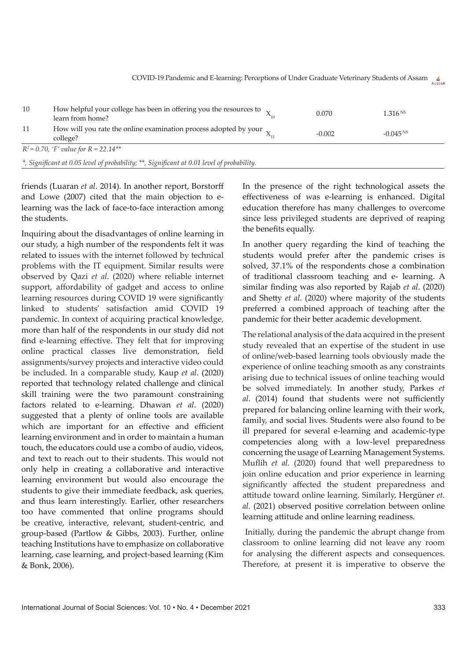| 10  | How helpful your college has been in offering you the resources to $\chi$<br>learn from home? | 0.070    | $1.316 N^s$   |
|-----|-----------------------------------------------------------------------------------------------|----------|---------------|
| -11 | How will you rate the online examination process adopted by your $\rm _X$<br>college?         | $-0.002$ | $-0.045^{N5}$ |
|     | $R^2 = 0.70$ , 'F' value for $R = 22.14***$                                                   |          |               |

*\*, Significant at 0.05 level of probability; \*\*, Significant at 0.01 level of probability.*

friends (Luaran *et al*. 2014). In another report, Borstorff and Lowe (2007) cited that the main objection to elearning was the lack of face-to-face interaction among the students.

Inquiring about the disadvantages of online learning in our study, a high number of the respondents felt it was related to issues with the internet followed by technical problems with the IT equipment. Similar results were observed by Qazi *et al.* (2020) where reliable internet support, affordability of gadget and access to online learning resources during COVID 19 were significantly linked to students' satisfaction amid COVID 19 pandemic. In context of acquiring practical knowledge, more than half of the respondents in our study did not find e-learning effective. They felt that for improving online practical classes live demonstration, field assignments/survey projects and interactive video could be included. In a comparable study, Kaup *et al*. (2020) reported that technology related challenge and clinical skill training were the two paramount constraining factors related to e-learning. Dhawan *et al*. (2020) suggested that a plenty of online tools are available which are important for an effective and efficient learning environment and in order to maintain a human touch, the educators could use a combo of audio, videos, and text to reach out to their students. This would not only help in creating a collaborative and interactive learning environment but would also encourage the students to give their immediate feedback, ask queries, and thus learn interestingly. Earlier, other researchers too have commented that online programs should be creative, interactive, relevant, student-centric, and group-based (Partlow & Gibbs, 2003). Further, online teaching Institutions have to emphasize on collaborative learning, case learning, and project-based learning (Kim & Bonk, 2006).

In the presence of the right technological assets the effectiveness of was e-learning is enhanced. Digital education therefore has many challenges to overcome since less privileged students are deprived of reaping the benefits equally.

In another query regarding the kind of teaching the students would prefer after the pandemic crises is solved, 37.1% of the respondents chose a combination of traditional classroom teaching and e- learning. A similar finding was also reported by Rajab *et al*. (2020) and Shetty *et al*. (2020) where majority of the students preferred a combined approach of teaching after the pandemic for their better academic development.

The relational analysis of the data acquired in the present study revealed that an expertise of the student in use of online/web-based learning tools obviously made the experience of online teaching smooth as any constraints arising due to technical issues of online teaching would be solved immediately. In another study, Parkes *et al*. (2014) found that students were not sufficiently prepared for balancing online learning with their work, family, and social lives. Students were also found to be ill prepared for several e-learning and academic-type competencies along with a low-level preparedness concerning the usage of Learning Management Systems. Muflih *et al.* (2020) found that well preparedness to join online education and prior experience in learning significantly affected the student preparedness and attitude toward online learning. Similarly, Hergüner *et. al.* (2021) observed positive correlation between online learning attitude and online learning readiness.

 Initially, during the pandemic the abrupt change from classroom to online learning did not leave any room for analysing the different aspects and consequences. Therefore, at present it is imperative to observe the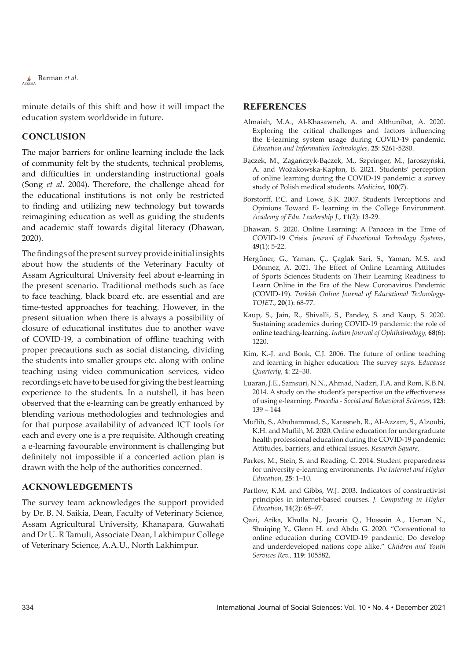

minute details of this shift and how it will impact the education system worldwide in future.

#### **Conclusion**

The major barriers for online learning include the lack of community felt by the students, technical problems, and difficulties in understanding instructional goals (Song *et al*. 2004). Therefore, the challenge ahead for the educational institutions is not only be restricted to finding and utilizing new technology but towards reimagining education as well as guiding the students and academic staff towards digital literacy (Dhawan, 2020).

The findings of the present survey provide initial insights about how the students of the Veterinary Faculty of Assam Agricultural University feel about e-learning in the present scenario. Traditional methods such as face to face teaching, black board etc. are essential and are time-tested approaches for teaching. However, in the present situation when there is always a possibility of closure of educational institutes due to another wave of COVID-19, a combination of offline teaching with proper precautions such as social distancing, dividing the students into smaller groups etc. along with online teaching using video communication services, video recordings etc have to be used for giving the best learning experience to the students. In a nutshell, it has been observed that the e-learning can be greatly enhanced by blending various methodologies and technologies and for that purpose availability of advanced ICT tools for each and every one is a pre requisite. Although creating a e-learning favourable environment is challenging but definitely not impossible if a concerted action plan is drawn with the help of the authorities concerned.

#### **Acknowledgements**

The survey team acknowledges the support provided by Dr. B. N. Saikia, Dean, Faculty of Veterinary Science, Assam Agricultural University, Khanapara, Guwahati and Dr U. R Tamuli, Associate Dean, Lakhimpur College of Veterinary Science, A.A.U., North Lakhimpur.

#### **References**

- Almaiah, M.A., Al-Khasawneh, A. and Althunibat, A. 2020. Exploring the critical challenges and factors influencing the E-learning system usage during COVID-19 pandemic. *Education and Information Technologies*, **25**: 5261-5280.
- Bączek, M., Zagańczyk-Bączek, M., Szpringer, M., Jaroszyński, A. and Wożakowska-Kapłon, B. 2021. Students' perception of online learning during the COVID-19 pandemic: a survey study of Polish medical students. *Medicine*, **100**(7).
- Borstorff, P.C. and Lowe, S.K. 2007. Students Perceptions and Opinions Toward E- learning in the College Environment. *Academy of Edu. Leadership J.*, **11**(2): 13-29.
- Dhawan, S. 2020. Online Learning: A Panacea in the Time of COVID-19 Crisis. *Journal of Educational Technology Systems*, **49**(1): 5-22.
- Hergüner, G., Yaman, Ç., Çaglak Sari, S., Yaman, M.S. and Dönmez, A. 2021. The Effect of Online Learning Attitudes of Sports Sciences Students on Their Learning Readiness to Learn Online in the Era of the New Coronavirus Pandemic (COVID-19). *Turkish Online Journal of Educational Technology-TOJET.*, **20**(1): 68-77.
- Kaup, S., Jain, R., Shivalli, S., Pandey, S. and Kaup, S. 2020. Sustaining academics during COVID-19 pandemic: the role of online teaching-learning. *Indian Journal of Ophthalmology,* **68**(6): 1220.
- Kim, K.-J. and Bonk, C.J. 2006. The future of online teaching and learning in higher education: The survey says. *Educause Quarterly*, **4**: 22–30.
- Luaran, J.E., Samsuri, N.N., Ahmad, Nadzri, F.A. and Rom, K.B.N. 2014. A study on the student's perspective on the effectiveness of using e-learning. *Procedia - Social and Behavioral Sciences*, **123**:  $139 - 144$
- Muflih, S., Abuhammad, S., Karasneh, R., Al-Azzam, S., Alzoubi, K.H. and Muflih, M. 2020. Online education for undergraduate health professional education during the COVID-19 pandemic: Attitudes, barriers, and ethical issues. *Research Square*.
- Parkes, M., Stein, S. and Reading, C. 2014. Student preparedness for university e-learning environments. *The Internet and Higher Education,* **25**: 1–10.
- Partlow, K.M. and Gibbs, W.J. 2003. Indicators of constructivist principles in internet-based courses. *J. Computing in Higher Education*, **14**(2): 68–97.
- Qazi, Atika, Khulla N., Javaria Q., Hussain A., Usman N., Shuiqing Y., Glenn H. and Abdu G. 2020. "Conventional to online education during COVID-19 pandemic: Do develop and underdeveloped nations cope alike." *Children and Youth Services Rev.,* **119**: 105582.